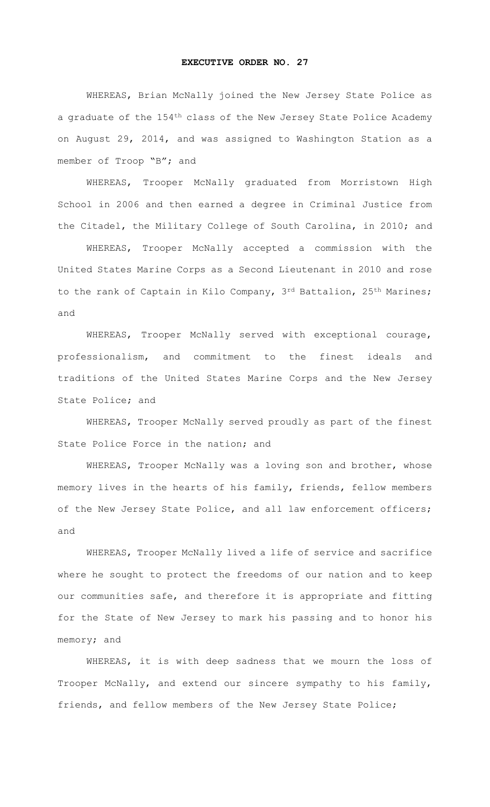## **EXECUTIVE ORDER NO. 27**

WHEREAS, Brian McNally joined the New Jersey State Police as a graduate of the 154<sup>th</sup> class of the New Jersey State Police Academy on August 29, 2014, and was assigned to Washington Station as a member of Troop "B"; and

WHEREAS, Trooper McNally graduated from Morristown High School in 2006 and then earned a degree in Criminal Justice from the Citadel, the Military College of South Carolina, in 2010; and

WHEREAS, Trooper McNally accepted a commission with the United States Marine Corps as a Second Lieutenant in 2010 and rose to the rank of Captain in Kilo Company, 3rd Battalion, 25<sup>th</sup> Marines; and

WHEREAS, Trooper McNally served with exceptional courage, professionalism, and commitment to the finest ideals and traditions of the United States Marine Corps and the New Jersey State Police; and

WHEREAS, Trooper McNally served proudly as part of the finest State Police Force in the nation; and

WHEREAS, Trooper McNally was a loving son and brother, whose memory lives in the hearts of his family, friends, fellow members of the New Jersey State Police, and all law enforcement officers; and

WHEREAS, Trooper McNally lived a life of service and sacrifice where he sought to protect the freedoms of our nation and to keep our communities safe, and therefore it is appropriate and fitting for the State of New Jersey to mark his passing and to honor his memory; and

WHEREAS, it is with deep sadness that we mourn the loss of Trooper McNally, and extend our sincere sympathy to his family, friends, and fellow members of the New Jersey State Police;